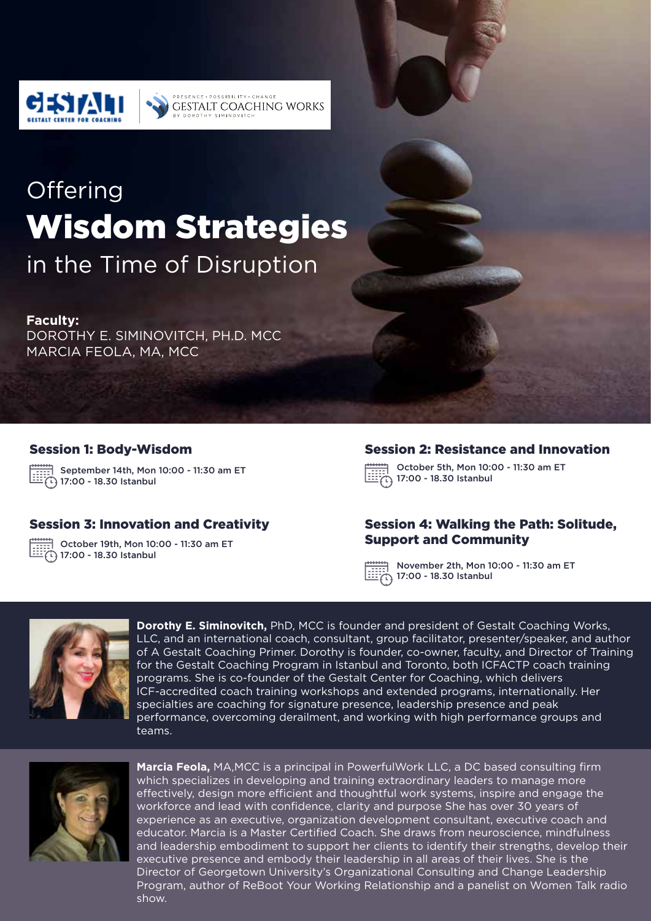

# **Offering** Wisdom Strategies

**DOCCIDILITY** CUANCI **GESTALT COACHING WORKS** 

in the Time of Disruption

#### **Faculty:**

DOROTHY E. SIMINOVITCH, PH.D. MCC MARCIA FEOLA, MA, MCC

#### Session 1: Body-Wisdom

September 14th, Mon 10:00 - 11:30 am ET  $\widehat{[1]}$  17:00 - 18.30 Istanbul

#### Session 3: Innovation and Creativity

October 19th, Mon 10:00 - 11:30 am ET  $\widehat{[1]}$  17:00 - 18.30 Istanbul

#### Session 2: Resistance and Innovation

October 5th, Mon 10:00 - 11:30 am ET  $\overleftrightarrow{1}$ 17:00 - 18.30 Istanbul

#### Session 4: Walking the Path: Solitude, Support and Community

November 2th, Mon 10:00 - 11:30 am ET 17:00 - 18.30 Istanbul



**Dorothy E. Siminovitch,** PhD, MCC is founder and president of Gestalt Coaching Works, LLC, and an international coach, consultant, group facilitator, presenter/speaker, and author of A Gestalt Coaching Primer. Dorothy is founder, co-owner, faculty, and Director of Training for the Gestalt Coaching Program in Istanbul and Toronto, both ICFACTP coach training programs. She is co-founder of the Gestalt Center for Coaching, which delivers ICF-accredited coach training workshops and extended programs, internationally. Her specialties are coaching for signature presence, leadership presence and peak performance, overcoming derailment, and working with high performance groups and teams.



**Marcia Feola,** MA,MCC is a principal in PowerfulWork LLC, a DC based consulting firm which specializes in developing and training extraordinary leaders to manage more effectively, design more efficient and thoughtful work systems, inspire and engage the workforce and lead with confidence, clarity and purpose She has over 30 years of experience as an executive, organization development consultant, executive coach and educator. Marcia is a Master Certified Coach. She draws from neuroscience, mindfulness and leadership embodiment to support her clients to identify their strengths, develop their executive presence and embody their leadership in all areas of their lives. She is the Director of Georgetown University's Organizational Consulting and Change Leadership Program, author of ReBoot Your Working Relationship and a panelist on Women Talk radio show.